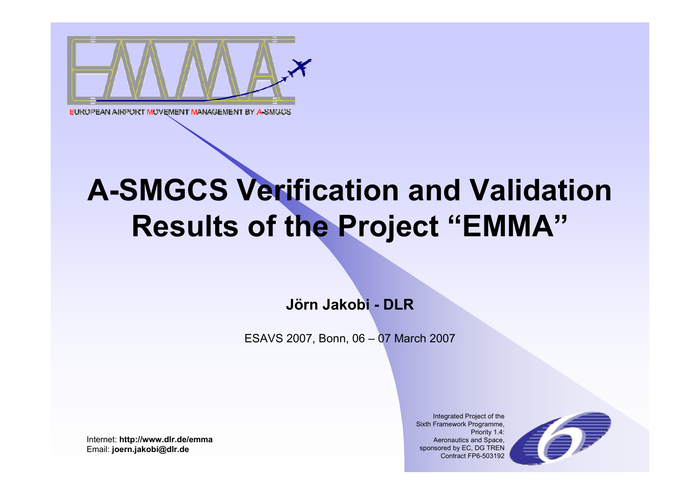

# **A-SMGCS Verification and Validation Results of the Project "EMMA"**

**Jörn Jakobi - DLR** 

ESAVS 2007, Bonn, 06 – 07 March 2007

Internet: **http://www.dlr.de/emma** Email: **joern.jakobi@dlr.de**

Integrated Project of the Sixth Framework Programme, Priority 1.4: Aeronautics and Space, sponsored by EC, DG TREN Contract FP6-503192

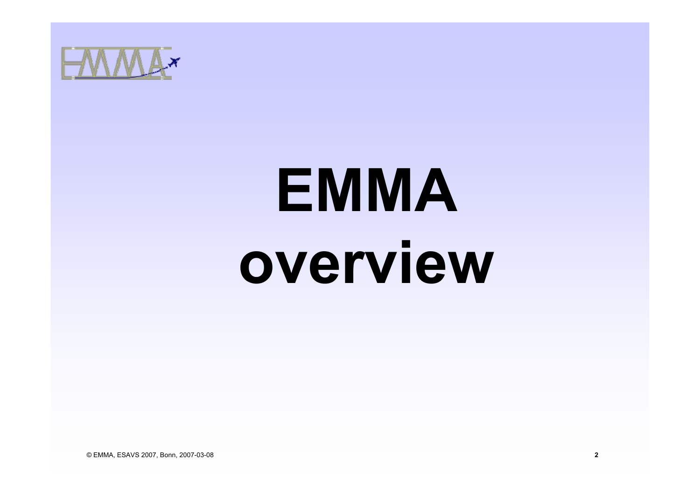

# **EMMA overview**

© EMMA, ESAVS 2007, Bonn, 2007-03-08 **2**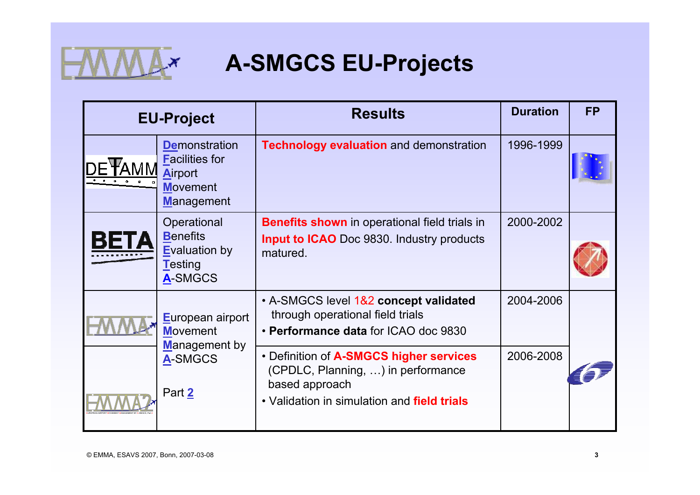

# **A-SMGCS EU-Projects**

| <b>EU-Project</b>                                                                                | <b>Results</b>                                                                                                                                 | <b>Duration</b> | <b>FP</b> |
|--------------------------------------------------------------------------------------------------|------------------------------------------------------------------------------------------------------------------------------------------------|-----------------|-----------|
| <b>Demonstration</b><br><b>Facilities for</b><br>Airport<br><b>Movement</b><br><b>Management</b> | <b>Technology evaluation and demonstration</b>                                                                                                 | 1996-1999       |           |
| Operational<br><b>Benefits</b><br><b>Evaluation by</b><br><b>Testing</b><br>A-SMGCS              | <b>Benefits shown</b> in operational field trials in<br><b>Input to ICAO</b> Doc 9830. Industry products<br>matured.                           | 2000-2002       |           |
| European airport<br><b>Movement</b>                                                              | • A-SMGCS level 1&2 concept validated<br>through operational field trials<br>• Performance data for ICAO doc 9830                              | 2004-2006       |           |
| <b>Management by</b><br>A-SMGCS<br>Part 2                                                        | • Definition of A-SMGCS higher services<br>(CPDLC, Planning, ) in performance<br>based approach<br>• Validation in simulation and field trials | 2006-2008       |           |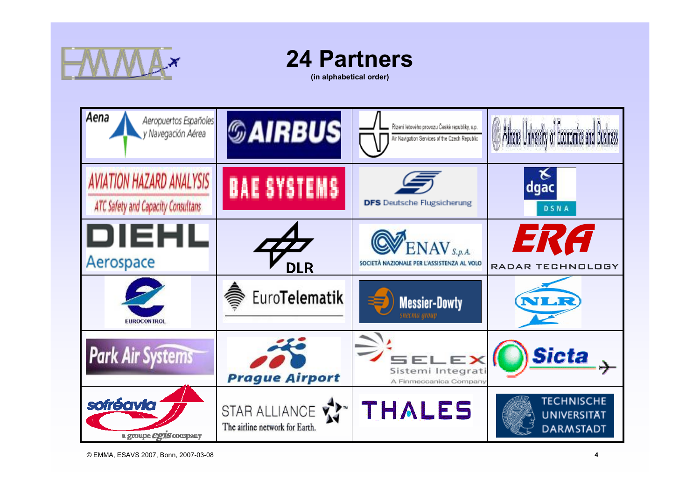

# **24 Partners**

**(in alphabetical order)**

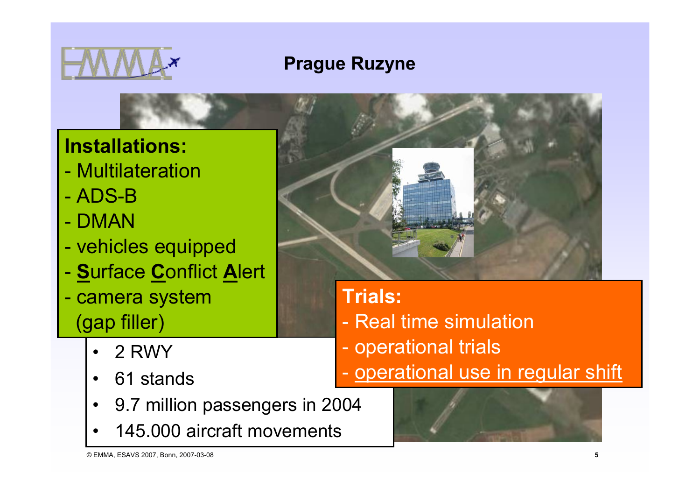

# **Prague Ruzyne**

**Installations:**

- Multilateration
- ADS-B
- DMAN
- vehicles equipped
- **S**urface **C**onflict **A**lert
- camera system (gap filler)
	- •2 RWY
	- $\bullet$ 61 stands
	- •9.7 million passengers in 2004
	- •145.000 aircraft movements



# **Trials:**

- Real time simulation
- operational trials
- operational use in regular shift

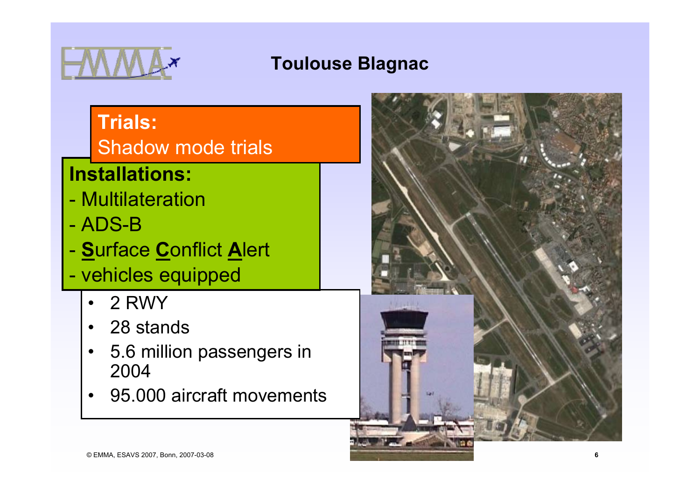

### **Toulouse Blagnac**

# **Trials:**

Shadow mode trials

# **Installations:**

- Multilateration
- ADS-B
- **S**urface **C**onflict **A**lert
- vehicles equipped
	- •2 RWY
	- •28 stands
	- • 5.6 million passengers in 2004
	- •95.000 aircraft movements

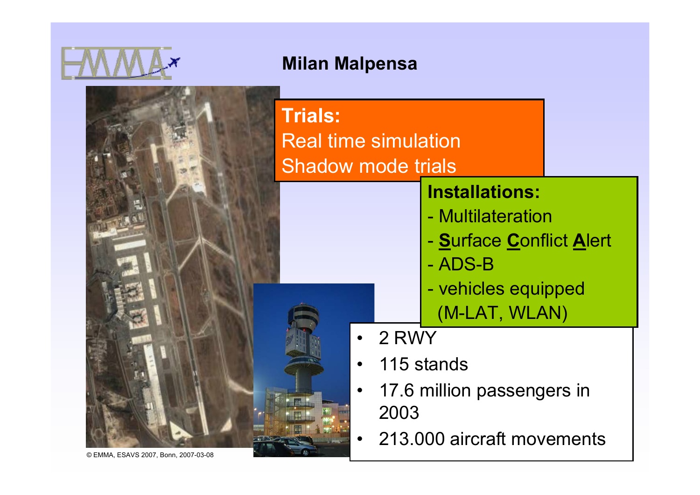

#### **Milan Malpensa**

| <b>Trials:</b><br><b>Real time simulation</b><br><b>Shadow mode trials</b> |                                                                                                                           |  |
|----------------------------------------------------------------------------|---------------------------------------------------------------------------------------------------------------------------|--|
|                                                                            | <b>Installations:</b><br>- Multilateration<br>- Surface Conflict Alert<br>- ADS-B<br>- vehicles equipped<br>(M-LAT, WLAN) |  |
| 2 RWY                                                                      | 115 stands                                                                                                                |  |
| 2003                                                                       | 17.6 million passengers in                                                                                                |  |
|                                                                            | 213.000 aircraft movements                                                                                                |  |

© EMMA, ESAVS 2007, Bonn, 2007-03-08 **7**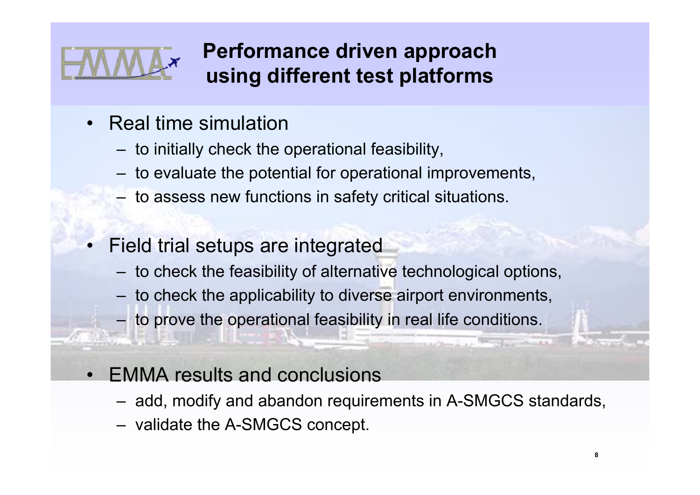

•

# **Performance driven approach using different test platforms**

- Real time simulation
	- to initially check the operational feasibility,
	- to evaluate the potential for operational improvements,
	- to assess new functions in safety critical situations.
	- Field trial setups are integrated
		- to check the feasibility of alternative technological options,
		- to check the applicability to diverse airport environments,
		- to prove the operational feasibility in real life conditions.
- EMMA results and conclusions
	- add, modify and abandon requirements in A-SMGCS standards,
	- validate the A-SMGCS concept.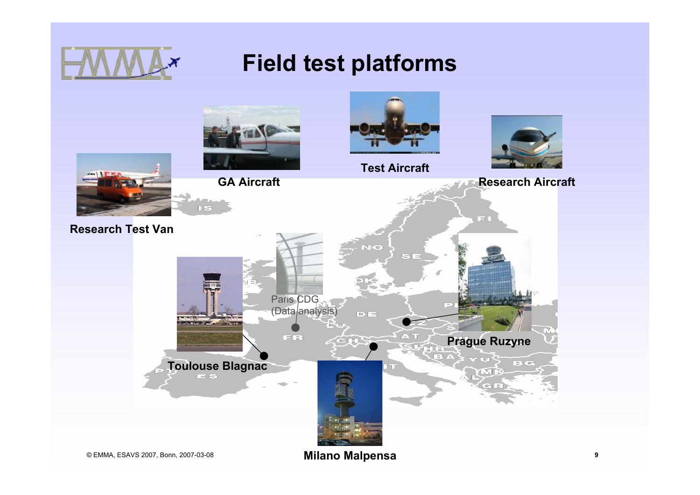

# **Field test platforms**

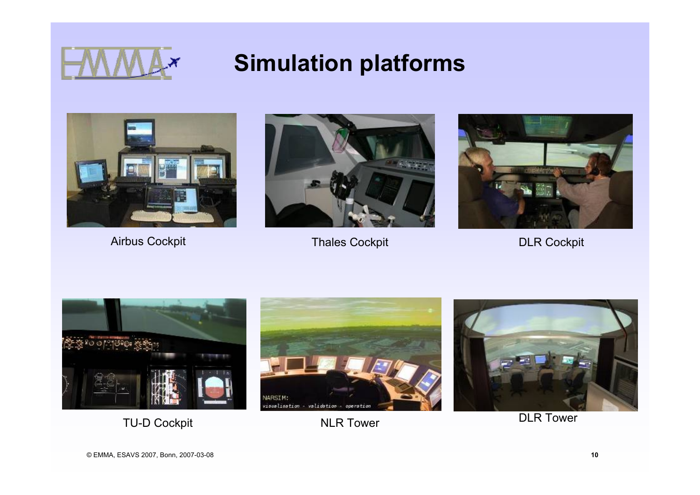

# **Simulation platforms**





Airbus Cockpit **Thales Cockpit** Thales Cockpit **DLR Cockpit** 





TU-D Cockpit **NLR Tower** NLR Tower **DLR Tower** 



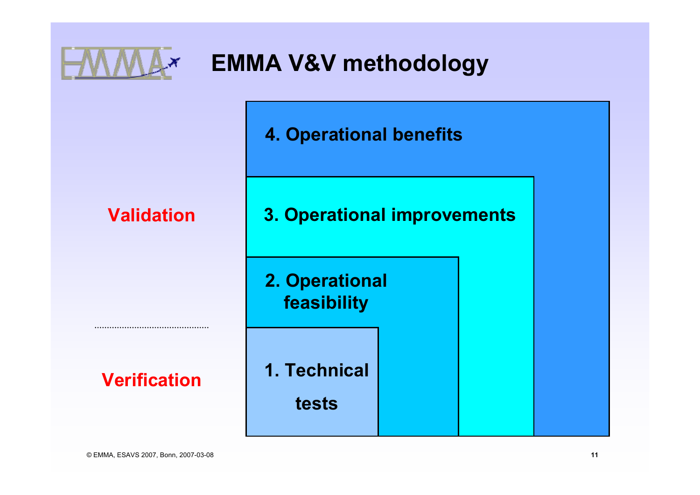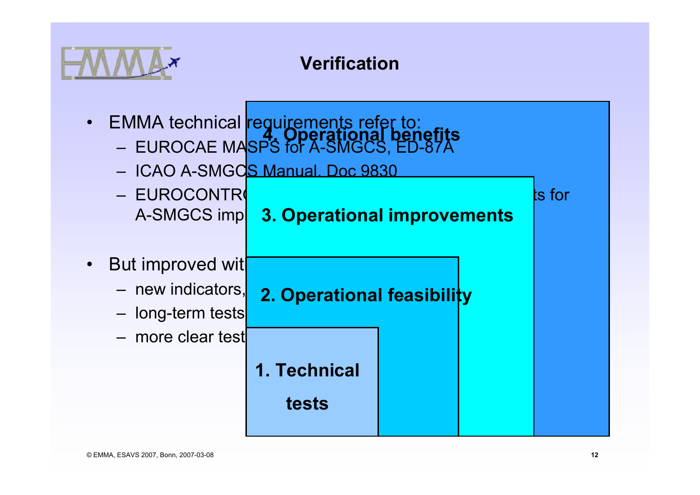

#### **Verification**

- EMMA technical <mark>requirements refer to:</mark> – EUROCAE MA<mark>SPS for A-SMGCS, ED-87A</mark> **4. Operational benefits**
	- ICAO A-SMGC<mark>S Manual. Doc 9830</mark>
	- EUROCONTR<mark>(</mark>  $\blacksquare$  ) and  $\blacksquare$  and  $\blacksquare$  and  $\blacksquare$  and  $\blacksquare$  and  $\blacksquare$  and  $\blacksquare$  and  $\blacksquare$  and  $\blacksquare$ A-SMGCS imp| 2. Operational improvements
- $\bullet$ But improved wit
	- new indicators,
		- long-term tests
		- more clear test procedures.
- **2. Operational feasibility** 
	- **1. Technical**
		- **tests**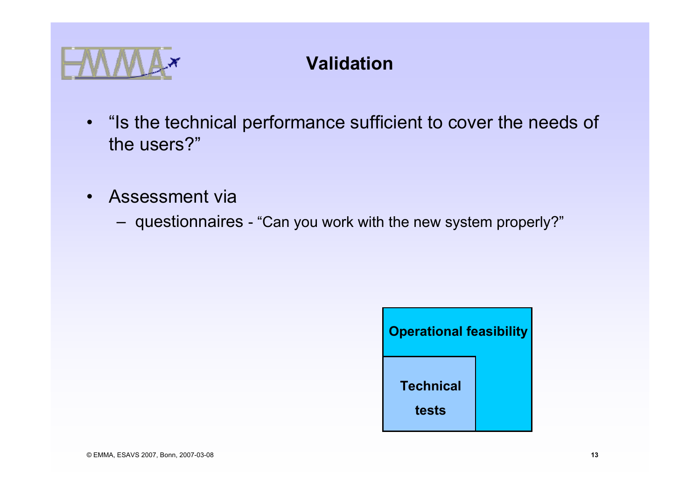

## **Validation**

- "Is the technical performance sufficient to cover the needs of the users?"
- • Assessment via
	- questionnaires "Can you work with the new system properly?"

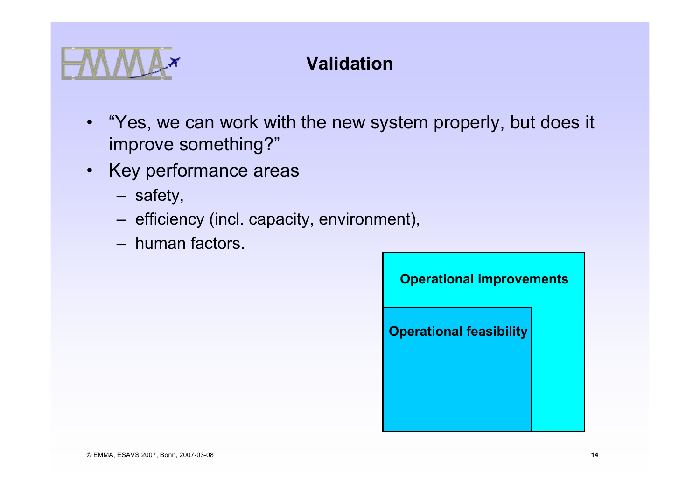

## **Validation**

- "Yes, we can work with the new system properly, but does it improve something?"
- Key performance areas
	- safety,
	- efficiency (incl. capacity, environment),
	- human factors.

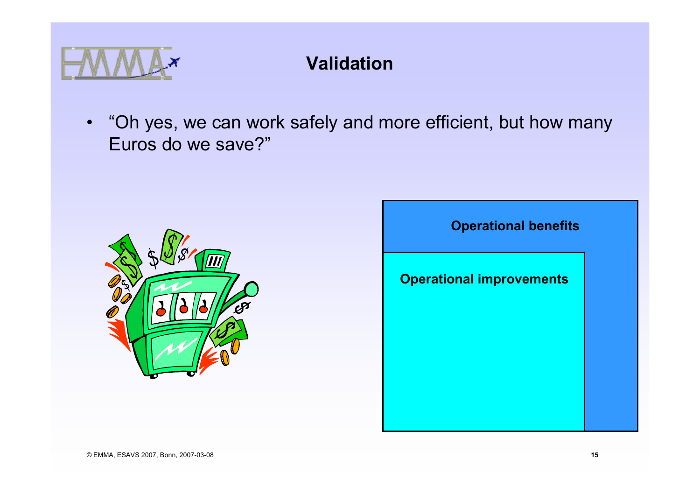

### **Validation**

• "Oh yes, we can work safely and more efficient, but how many Euros do we save?"



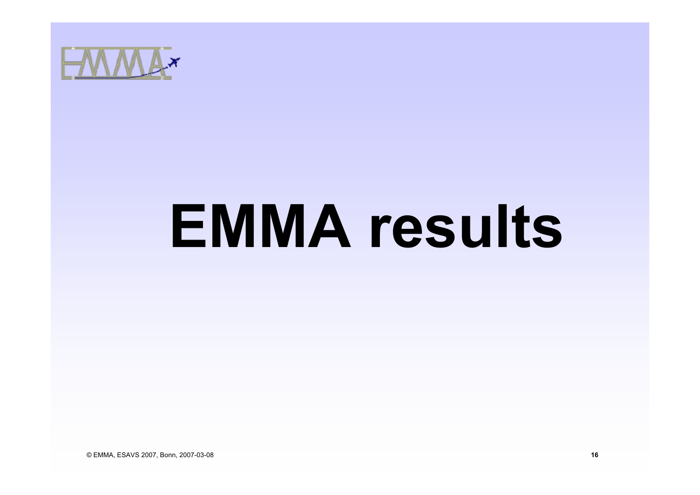

# **EMMA results**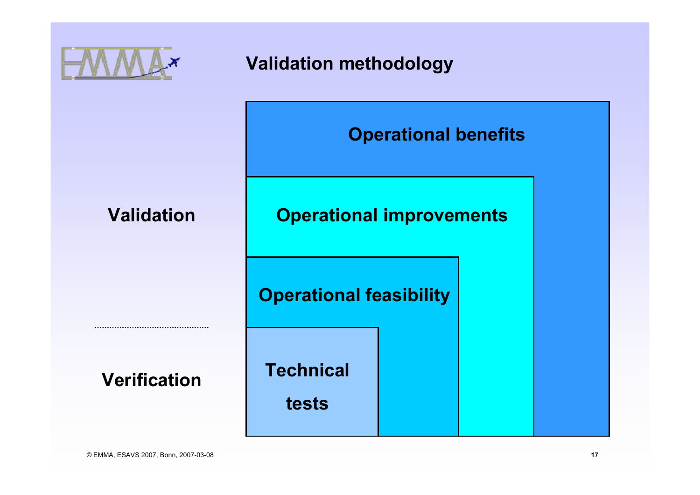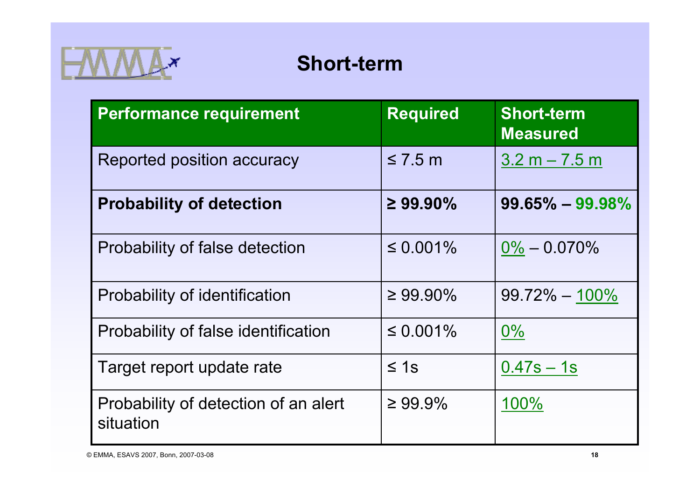

# **Short-term**

| <b>Performance requirement</b>                    | <b>Required</b> | <b>Short-term</b><br><b>Measured</b> |
|---------------------------------------------------|-----------------|--------------------------------------|
| Reported position accuracy                        | $\leq 7.5$ m    | $3.2 m - 7.5 m$                      |
| <b>Probability of detection</b>                   | $\geq 99.90\%$  | $99.65\% - 99.98\%$                  |
| Probability of false detection                    | $\leq 0.001\%$  | $0\% - 0.070\%$                      |
| Probability of identification                     | $\geq 99.90\%$  | $99.72\% - 100\%$                    |
| Probability of false identification               | $\leq 0.001\%$  | $0\%$                                |
| Target report update rate                         | $\leq 1s$       | $0.47s - 1s$                         |
| Probability of detection of an alert<br>situation | $\geq 99.9\%$   | 100%                                 |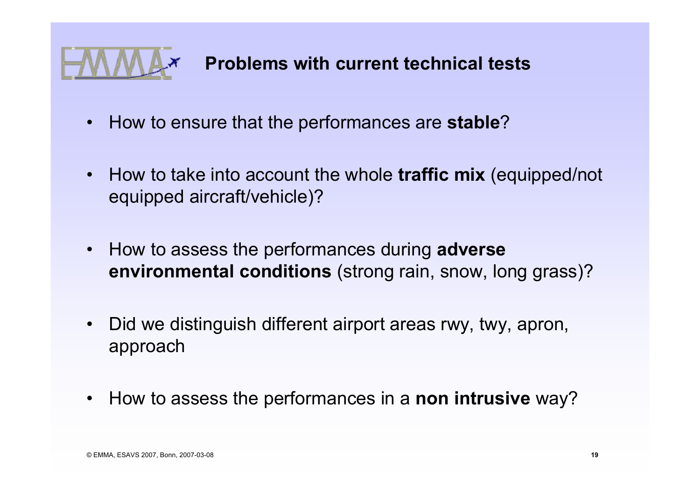

- How to ensure that the performances are **stable**?
- How to take into account the whole **traffic mix** (equipped/not equipped aircraft/vehicle)?
- How to assess the performances during **adverse environmental conditions** (strong rain, snow, long grass)?
- $\bullet$  Did we distinguish different airport areas rwy, twy, apron, approach
- How to assess the performances in a **non intrusive** way?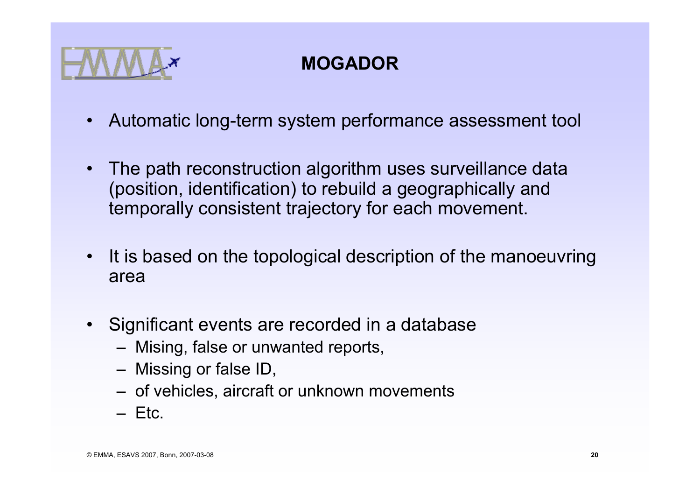

# **MOGADOR**

- $\bullet$ Automatic long-term system performance assessment tool
- • The path reconstruction algorithm uses surveillance data (position, identification) to rebuild a geographically and temporally consistent trajectory for each movement.
- It is based on the topological description of the manoeuvring area
- Significant events are recorded in a database
	- Mising, false or unwanted reports,
	- Missing or false ID,
	- of vehicles, aircraft or unknown movements
	- Etc.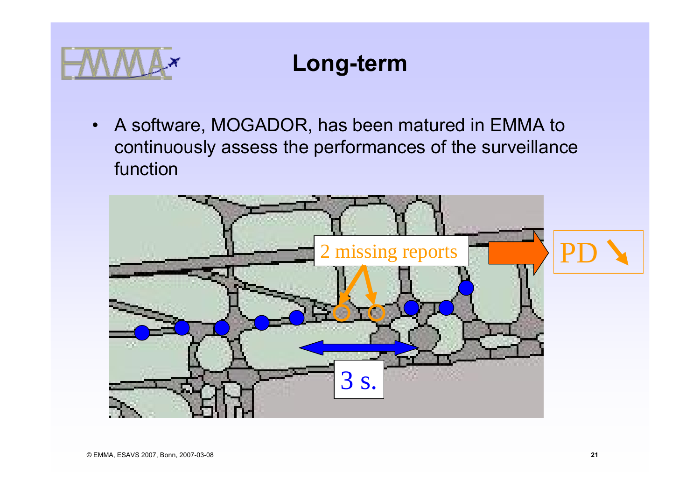

# **Long-term**

• A software, MOGADOR, has been matured in EMMA to continuously assess the performances of the surveillance function

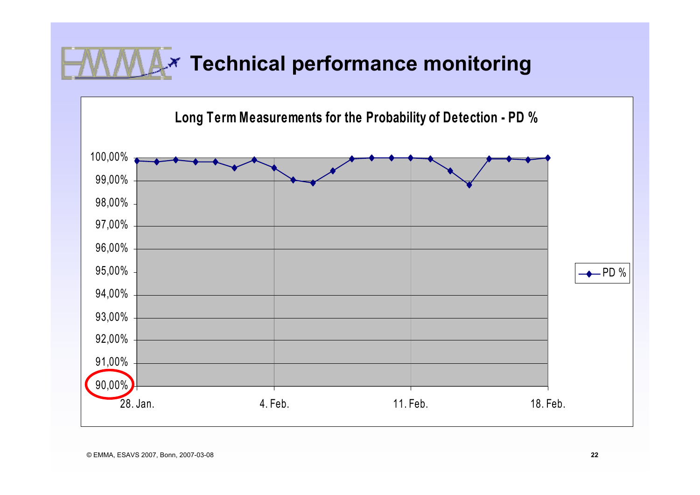# **Technical performance monitoring**

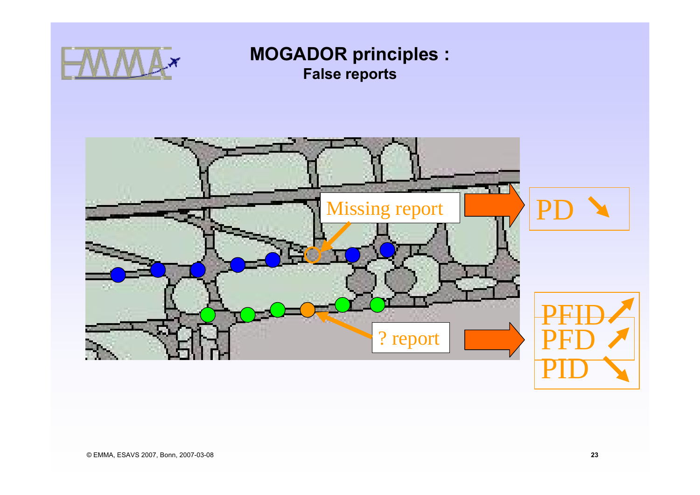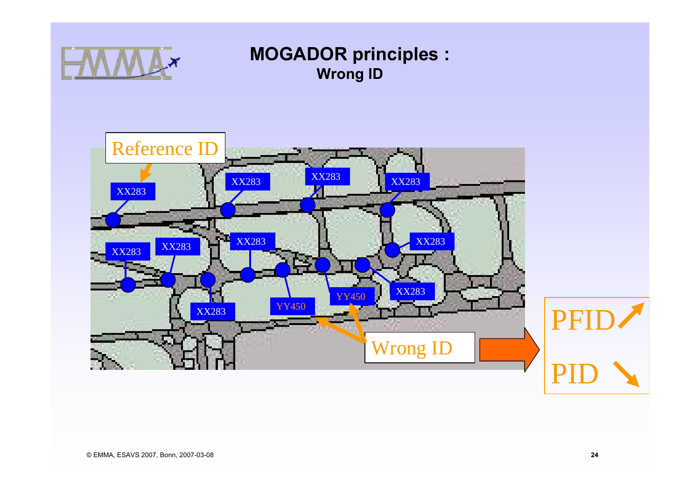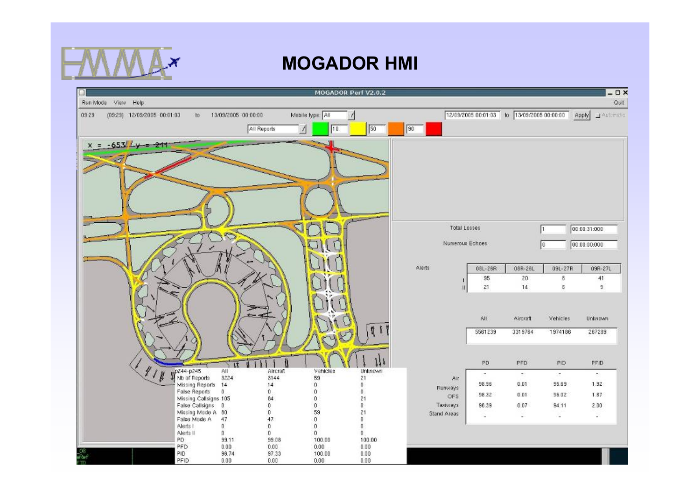

#### **MOGADOR HMI**

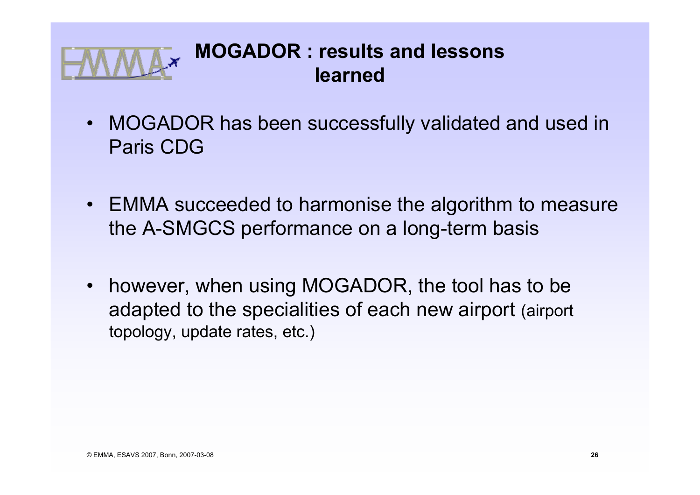

- MOGADOR has been successfully validated and used in Paris CDG
- EMMA succeeded to harmonise the algorithm to measure the A-SMGCS performance on a long-term basis
- $\bullet$  however, when using MOGADOR, the tool has to be adapted to the specialities of each new airport (airport topology, update rates, etc.)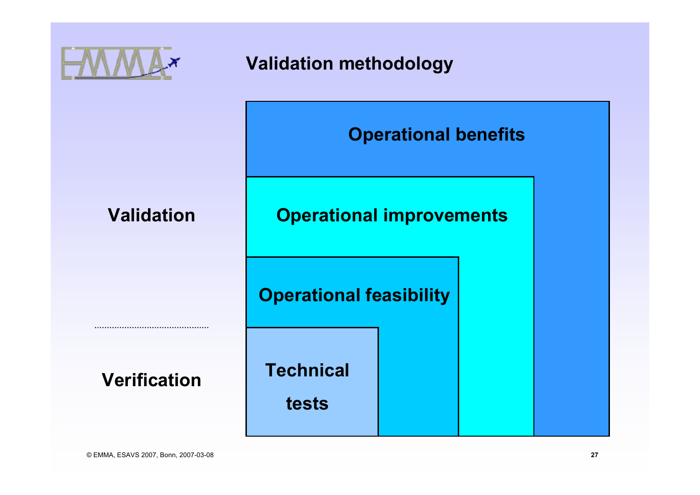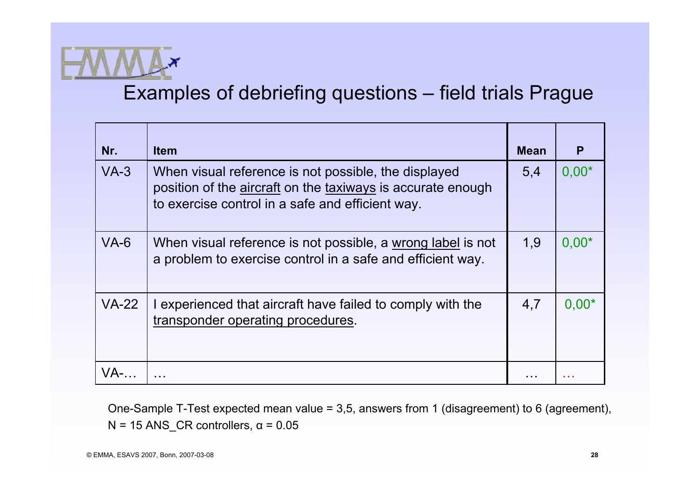

#### Examples of debriefing questions – field trials Prague

| Nr.     | <b>Item</b>                                                                                                                                                             | <b>Mean</b> | P       |
|---------|-------------------------------------------------------------------------------------------------------------------------------------------------------------------------|-------------|---------|
| $VA-3$  | When visual reference is not possible, the displayed<br>position of the aircraft on the taxiways is accurate enough<br>to exercise control in a safe and efficient way. | 5,4         | $0,00*$ |
| $VA-6$  | When visual reference is not possible, a wrong label is not<br>a problem to exercise control in a safe and efficient way.                                               | 1,9         | $0,00*$ |
| $VA-22$ | I experienced that aircraft have failed to comply with the<br>transponder operating procedures.                                                                         | 4,7         | $0,00*$ |
|         |                                                                                                                                                                         |             |         |

One-Sample T-Test expected mean value = 3,5, answers from 1 (disagreement) to 6 (agreement), N = 15 ANS\_CR controllers,  $\alpha$  = 0.05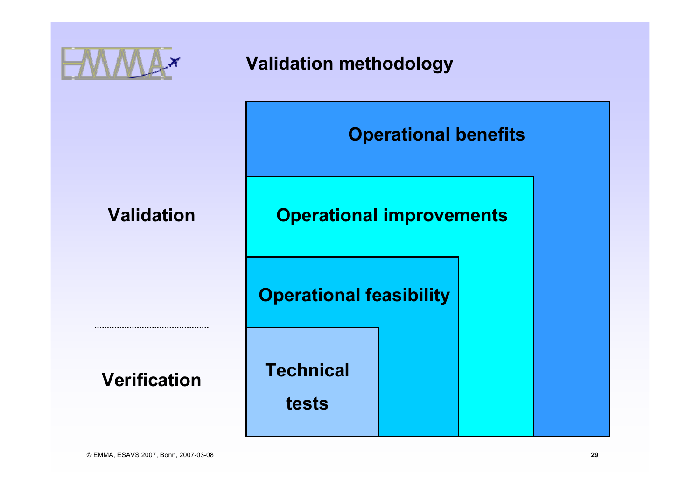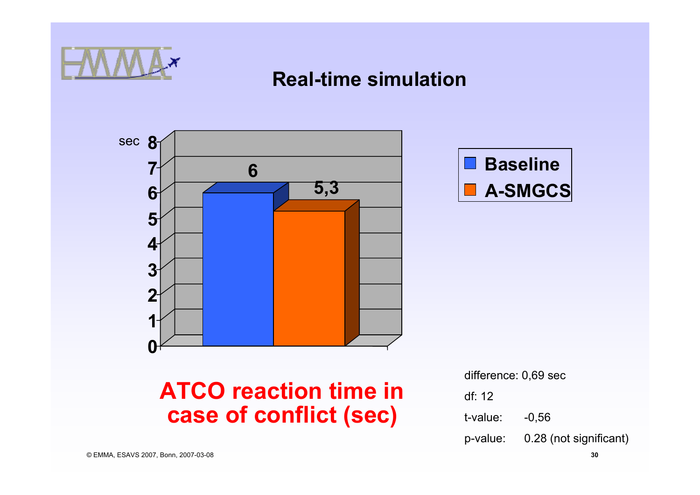

#### **Real-time simulation**



**case of conflict (sec)**



**Baseline**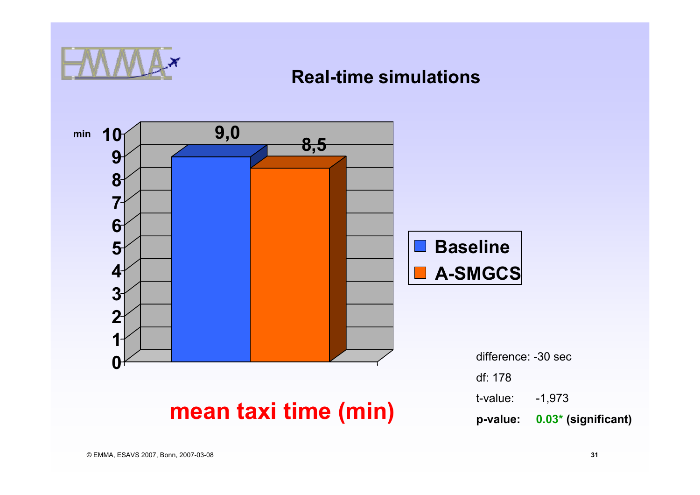

#### **Real-time simulations**

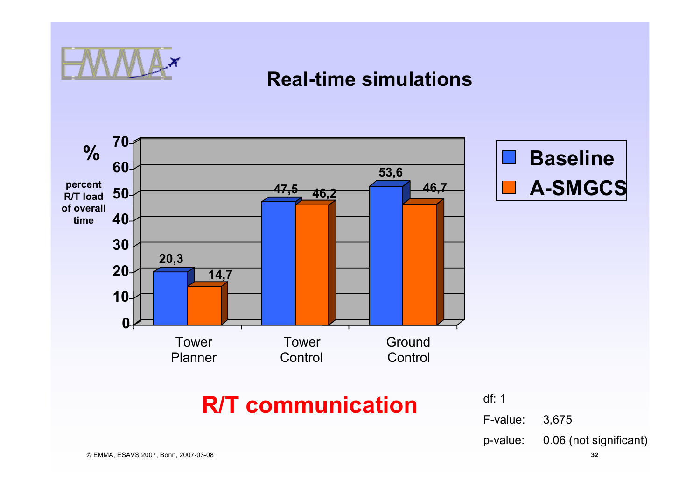

#### **Real-time simulations**

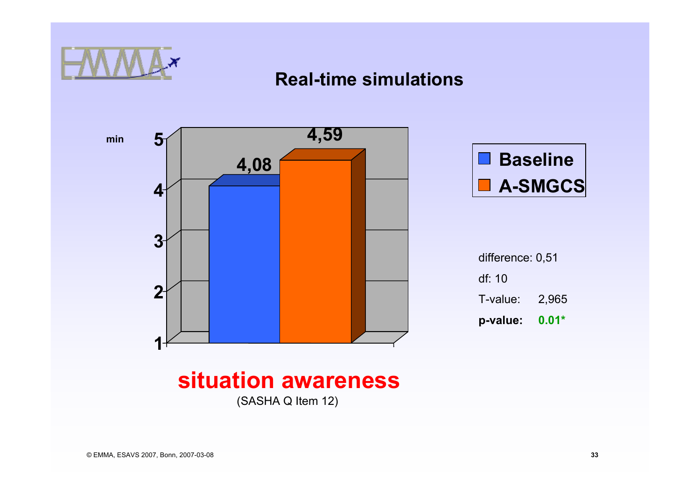

#### **Real-time simulations**

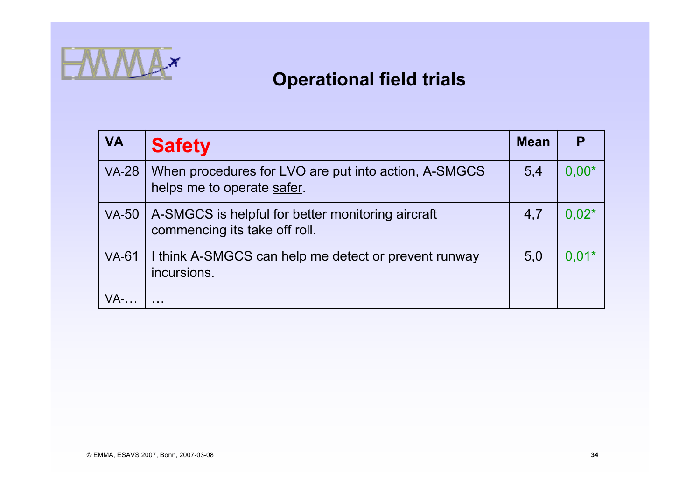

#### **Operational field trials**

| <b>VA</b>    | <b>Safety</b>                                                                      | <b>Mean</b> |         |
|--------------|------------------------------------------------------------------------------------|-------------|---------|
| <b>VA-28</b> | When procedures for LVO are put into action, A-SMGCS<br>helps me to operate safer. | 5,4         | $0.00*$ |
| <b>VA-50</b> | A-SMGCS is helpful for better monitoring aircraft<br>commencing its take off roll. | 4,7         | $0.02*$ |
| <b>VA-61</b> | I think A-SMGCS can help me detect or prevent runway<br>incursions.                | 5,0         | $0.01*$ |
| $VA$ -       |                                                                                    |             |         |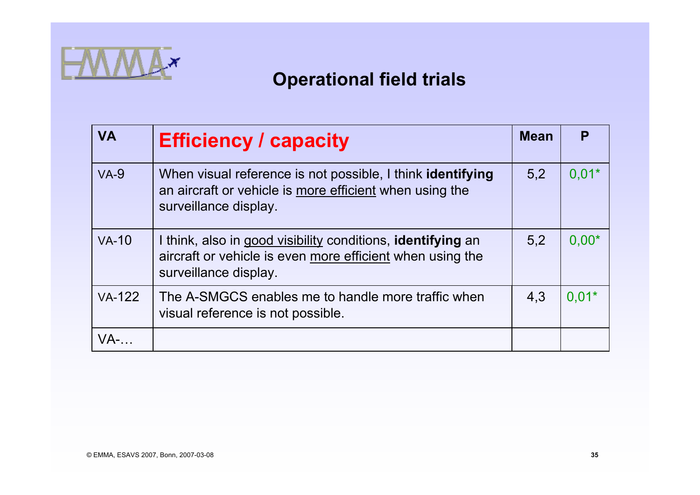

#### **Operational field trials**

| <b>VA</b>     | <b>Efficiency / capacity</b>                                                                                                                             | <b>Mean</b> |         |
|---------------|----------------------------------------------------------------------------------------------------------------------------------------------------------|-------------|---------|
| $VA-9$        | When visual reference is not possible, I think <b>identifying</b><br>an aircraft or vehicle is more efficient when using the<br>surveillance display.    | 5,2         | $0.01*$ |
| $VA-10$       | I think, also in good visibility conditions, <b>identifying</b> an<br>aircraft or vehicle is even more efficient when using the<br>surveillance display. | 5,2         | $0,00*$ |
| <b>VA-122</b> | The A-SMGCS enables me to handle more traffic when<br>visual reference is not possible.                                                                  | 4,3         | $0.01*$ |
| $VA$ -        |                                                                                                                                                          |             |         |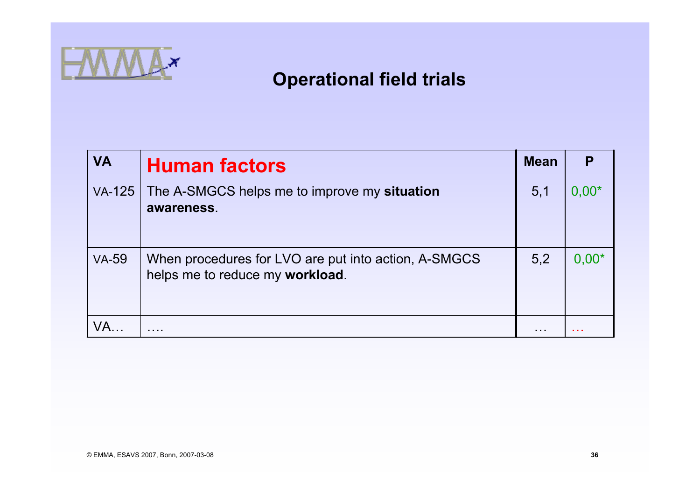

#### **Operational field trials**

| <b>VA</b>     | <b>Human factors</b>                                                                    | <b>Mean</b> | P       |
|---------------|-----------------------------------------------------------------------------------------|-------------|---------|
| <b>VA-125</b> | The A-SMGCS helps me to improve my situation<br>awareness.                              | 5,1         | $0.00*$ |
| <b>VA-59</b>  | When procedures for LVO are put into action, A-SMGCS<br>helps me to reduce my workload. | 5,2         | $0.00*$ |
| / A           | .                                                                                       | .           | .       |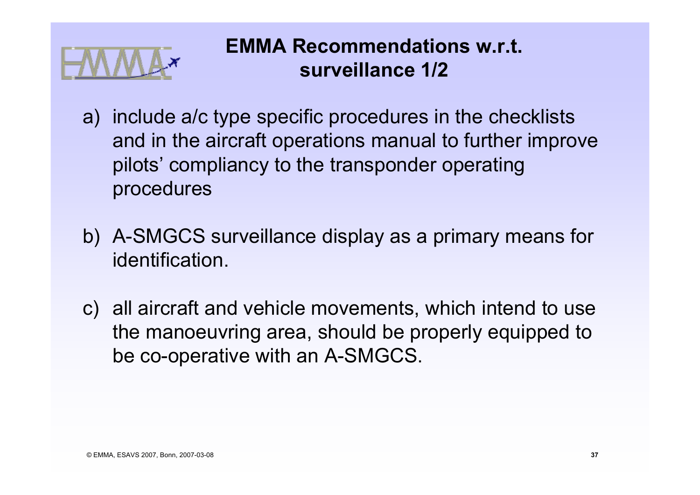

## **EMMA Recommendations w.r.t. surveillance 1/2**

- a) include a/c type specific procedures in the checklists and in the aircraft operations manual to further improve pilots' compliancy to the transponder operating procedures
- b) A-SMGCS surveillance display as a primary means for identification.
- c) all aircraft and vehicle movements, which intend to use the manoeuvring area, should be properly equipped to be co-operative with an A-SMGCS.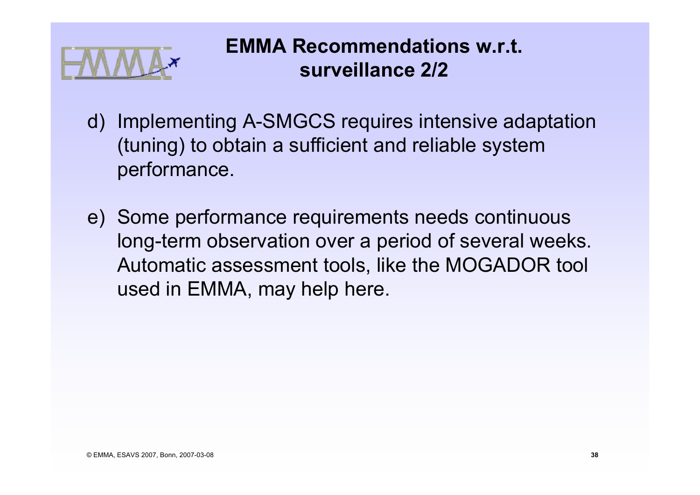

## **EMMA Recommendations w.r.t. surveillance 2/2**

- d) Implementing A-SMGCS requires intensive adaptation (tuning) to obtain a sufficient and reliable system performance.
- e) Some performance requirements needs continuous long-term observation over a period of several weeks. Automatic assessment tools, like the MOGADOR tool used in EMMA, may help here.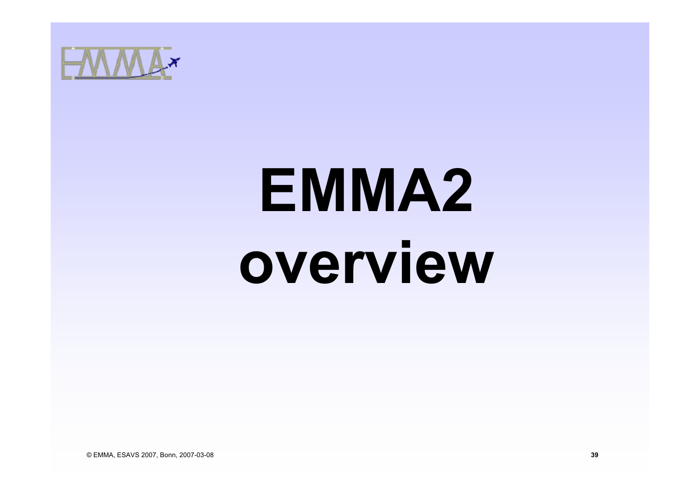

# **EMMA2 overview**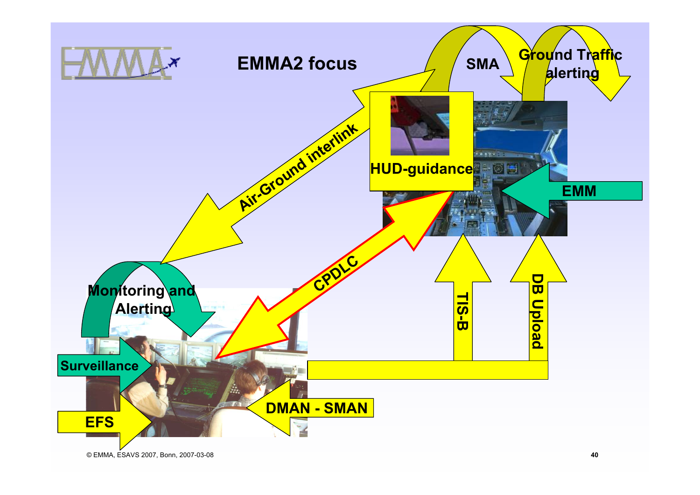

© EMMA, ESAVS 2007, Bonn, 2007-03-08 **40**